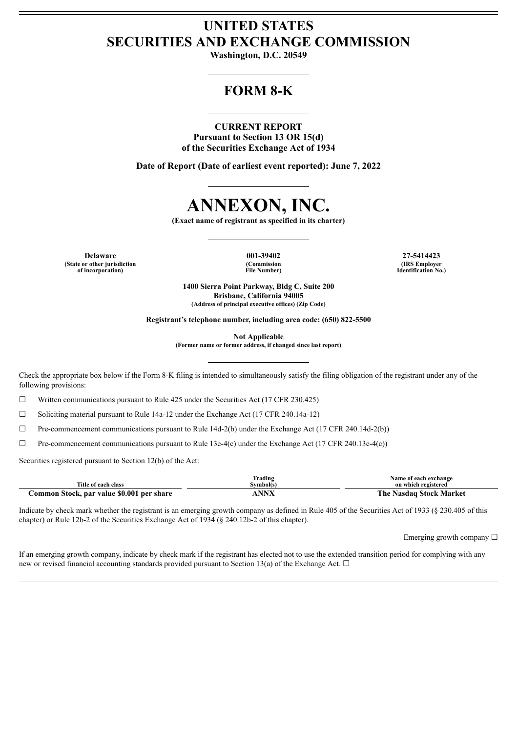# **UNITED STATES SECURITIES AND EXCHANGE COMMISSION**

**Washington, D.C. 20549**

# **FORM 8-K**

# **CURRENT REPORT**

**Pursuant to Section 13 OR 15(d) of the Securities Exchange Act of 1934**

**Date of Report (Date of earliest event reported): June 7, 2022**



**(Exact name of registrant as specified in its charter)**

**Delaware 001-39402 27-5414423 (State or other jurisdiction of incorporation)**

**(Commission File Number)**

**(IRS Employer Identification No.)**

**1400 Sierra Point Parkway, Bldg C, Suite 200 Brisbane, California 94005 (Address of principal executive offices) (Zip Code)**

**Registrant's telephone number, including area code: (650) 822-5500**

**Not Applicable**

**(Former name or former address, if changed since last report)**

Check the appropriate box below if the Form 8-K filing is intended to simultaneously satisfy the filing obligation of the registrant under any of the following provisions:

 $\Box$  Written communications pursuant to Rule 425 under the Securities Act (17 CFR 230.425)

 $\Box$  Soliciting material pursuant to Rule 14a-12 under the Exchange Act (17 CFR 240.14a-12)

 $\Box$  Pre-commencement communications pursuant to Rule 14d-2(b) under the Exchange Act (17 CFR 240.14d-2(b))

 $\Box$  Pre-commencement communications pursuant to Rule 13e-4(c) under the Exchange Act (17 CFR 240.13e-4(c))

Securities registered pursuant to Section 12(b) of the Act:

|                                           | Frading   | Name of each exchange        |
|-------------------------------------------|-----------|------------------------------|
| Title of each class                       | Svmbol(s` | on which registered          |
| Common Stock, par value \$0.001 per share | NNV       | The .<br>Nasdag Stock Market |

Indicate by check mark whether the registrant is an emerging growth company as defined in Rule 405 of the Securities Act of 1933 (§ 230.405 of this chapter) or Rule 12b-2 of the Securities Exchange Act of 1934 (§ 240.12b-2 of this chapter).

Emerging growth company ☐

If an emerging growth company, indicate by check mark if the registrant has elected not to use the extended transition period for complying with any new or revised financial accounting standards provided pursuant to Section 13(a) of the Exchange Act.  $\Box$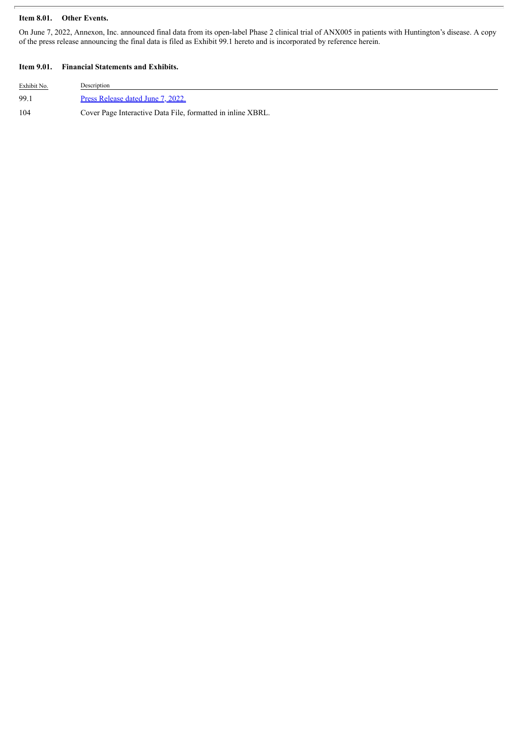# **Item 8.01. Other Events.**

On June 7, 2022, Annexon, Inc. announced final data from its open-label Phase 2 clinical trial of ANX005 in patients with Huntington's disease. A copy of the press release announcing the final data is filed as Exhibit 99.1 hereto and is incorporated by reference herein.

## **Item 9.01. Financial Statements and Exhibits.**

| Exhibit No. | Description                                                 |
|-------------|-------------------------------------------------------------|
| 99.1        | Press Release dated June 7, 2022.                           |
| 104         | Cover Page Interactive Data File, formatted in inline XBRL. |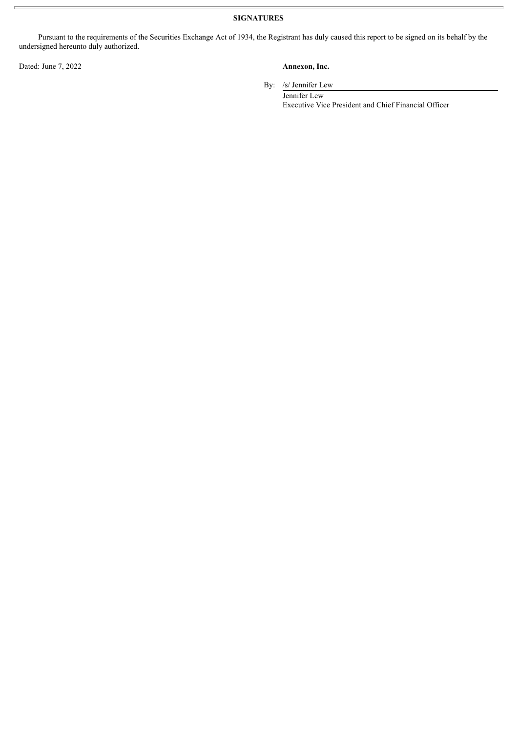**SIGNATURES**

Pursuant to the requirements of the Securities Exchange Act of 1934, the Registrant has duly caused this report to be signed on its behalf by the undersigned hereunto duly authorized.

Dated: June 7, 2022 **Annexon, Inc.**

By: /s/ Jennifer Lew

Jennifer Lew Executive Vice President and Chief Financial Officer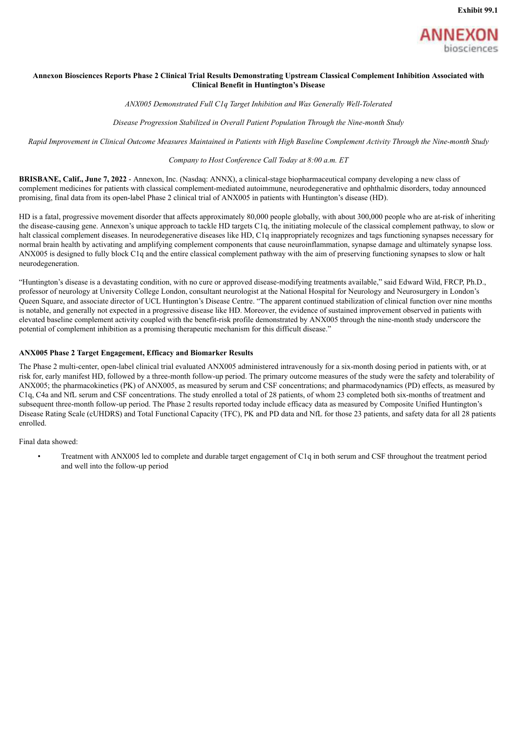

#### <span id="page-3-0"></span>Annexon Biosciences Reports Phase 2 Clinical Trial Results Demonstrating Upstream Classical Complement Inhibition Associated with **Clinical Benefit in Huntington's Disease**

*ANX005 Demonstrated Full C1q Target Inhibition and Was Generally Well-Tolerated*

*Disease Progression Stabilized in Overall Patient Population Through the Nine-month Study*

Rapid Improvement in Clinical Outcome Measures Maintained in Patients with High Baseline Complement Activity Through the Nine-month Study

#### *Company to Host Conference Call Today at 8:00 a.m. ET*

**BRISBANE, Calif., June 7, 2022** - Annexon, Inc. (Nasdaq: ANNX), a clinical-stage biopharmaceutical company developing a new class of complement medicines for patients with classical complement-mediated autoimmune, neurodegenerative and ophthalmic disorders, today announced promising, final data from its open-label Phase 2 clinical trial of ANX005 in patients with Huntington's disease (HD).

HD is a fatal, progressive movement disorder that affects approximately 80,000 people globally, with about 300,000 people who are at-risk of inheriting the disease-causing gene. Annexon's unique approach to tackle HD targets C1q, the initiating molecule of the classical complement pathway, to slow or halt classical complement diseases. In neurodegenerative diseases like HD, C1q inappropriately recognizes and tags functioning synapses necessary for normal brain health by activating and amplifying complement components that cause neuroinflammation, synapse damage and ultimately synapse loss. ANX005 is designed to fully block C1q and the entire classical complement pathway with the aim of preserving functioning synapses to slow or halt neurodegeneration.

"Huntington's disease is a devastating condition, with no cure or approved disease-modifying treatments available," said Edward Wild, FRCP, Ph.D., professor of neurology at University College London, consultant neurologist at the National Hospital for Neurology and Neurosurgery in London's Queen Square, and associate director of UCL Huntington's Disease Centre. "The apparent continued stabilization of clinical function over nine months is notable, and generally not expected in a progressive disease like HD. Moreover, the evidence of sustained improvement observed in patients with elevated baseline complement activity coupled with the benefit-risk profile demonstrated by ANX005 through the nine-month study underscore the potential of complement inhibition as a promising therapeutic mechanism for this difficult disease."

#### **ANX005 Phase 2 Target Engagement, Efficacy and Biomarker Results**

The Phase 2 multi-center, open-label clinical trial evaluated ANX005 administered intravenously for a six-month dosing period in patients with, or at risk for, early manifest HD, followed by a three-month follow-up period. The primary outcome measures of the study were the safety and tolerability of ANX005; the pharmacokinetics (PK) of ANX005, as measured by serum and CSF concentrations; and pharmacodynamics (PD) effects, as measured by C1q, C4a and NfL serum and CSF concentrations. The study enrolled a total of 28 patients, of whom 23 completed both six-months of treatment and subsequent three-month follow-up period. The Phase 2 results reported today include efficacy data as measured by Composite Unified Huntington's Disease Rating Scale (cUHDRS) and Total Functional Capacity (TFC), PK and PD data and NfL for those 23 patients, and safety data for all 28 patients enrolled.

Final data showed:

• Treatment with ANX005 led to complete and durable target engagement of C1q in both serum and CSF throughout the treatment period and well into the follow-up period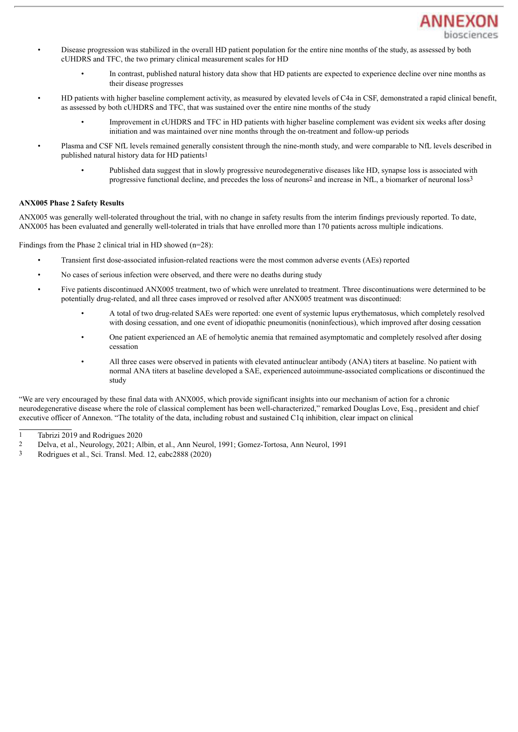

- Disease progression was stabilized in the overall HD patient population for the entire nine months of the study, as assessed by both cUHDRS and TFC, the two primary clinical measurement scales for HD
	- In contrast, published natural history data show that HD patients are expected to experience decline over nine months as their disease progresses
- HD patients with higher baseline complement activity, as measured by elevated levels of C4a in CSF, demonstrated a rapid clinical benefit, as assessed by both cUHDRS and TFC, that was sustained over the entire nine months of the study
	- Improvement in cUHDRS and TFC in HD patients with higher baseline complement was evident six weeks after dosing initiation and was maintained over nine months through the on-treatment and follow-up periods
	- Plasma and CSF NfL levels remained generally consistent through the nine-month study, and were comparable to NfL levels described in published natural history data for HD patients1
		- Published data suggest that in slowly progressive neurodegenerative diseases like HD, synapse loss is associated with progressive functional decline, and precedes the loss of neurons2 and increase in NfL, a biomarker of neuronal loss3

#### **ANX005 Phase 2 Safety Results**

ANX005 was generally well-tolerated throughout the trial, with no change in safety results from the interim findings previously reported. To date, ANX005 has been evaluated and generally well-tolerated in trials that have enrolled more than 170 patients across multiple indications.

Findings from the Phase 2 clinical trial in HD showed (n=28):

- Transient first dose-associated infusion-related reactions were the most common adverse events (AEs) reported
- No cases of serious infection were observed, and there were no deaths during study
- Five patients discontinued ANX005 treatment, two of which were unrelated to treatment. Three discontinuations were determined to be potentially drug-related, and all three cases improved or resolved after ANX005 treatment was discontinued:
	- A total of two drug-related SAEs were reported: one event of systemic lupus erythematosus, which completely resolved with dosing cessation, and one event of idiopathic pneumonitis (noninfectious), which improved after dosing cessation
	- One patient experienced an AE of hemolytic anemia that remained asymptomatic and completely resolved after dosing cessation
	- All three cases were observed in patients with elevated antinuclear antibody (ANA) titers at baseline. No patient with normal ANA titers at baseline developed a SAE, experienced autoimmune-associated complications or discontinued the study

"We are very encouraged by these final data with ANX005, which provide significant insights into our mechanism of action for a chronic neurodegenerative disease where the role of classical complement has been well-characterized," remarked Douglas Love, Esq., president and chief executive officer of Annexon. "The totality of the data, including robust and sustained C1q inhibition, clear impact on clinical

<sup>1</sup> Tabrizi 2019 and Rodrigues 2020

<sup>2</sup> Delva, et al., Neurology, 2021; Albin, et al., Ann Neurol, 1991; Gomez-Tortosa, Ann Neurol, 1991

<sup>3</sup> Rodrigues et al., Sci. Transl. Med. 12, eabc2888 (2020)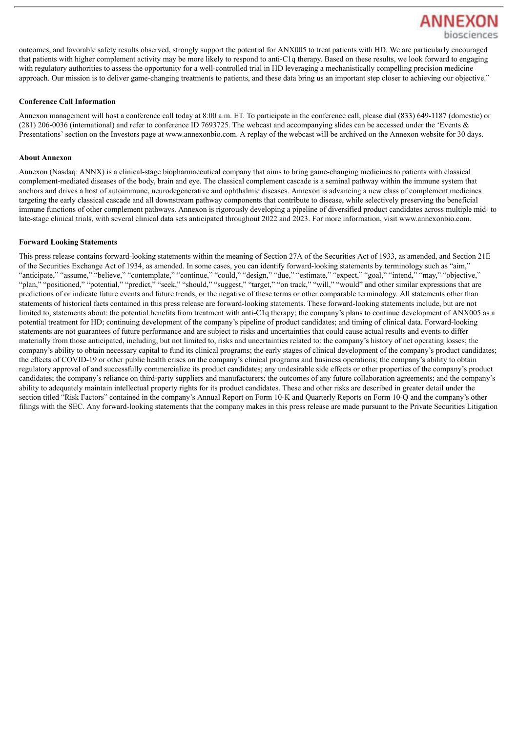

outcomes, and favorable safety results observed, strongly support the potential for ANX005 to treat patients with HD. We are particularly encouraged that patients with higher complement activity may be more likely to respond to anti-C1q therapy. Based on these results, we look forward to engaging with regulatory authorities to assess the opportunity for a well-controlled trial in HD leveraging a mechanistically compelling precision medicine approach. Our mission is to deliver game-changing treatments to patients, and these data bring us an important step closer to achieving our objective."

#### **Conference Call Information**

Annexon management will host a conference call today at 8:00 a.m. ET. To participate in the conference call, please dial (833) 649-1187 (domestic) or (281) 206-0036 (international) and refer to conference ID 7693725. The webcast and accompanying slides can be accessed under the 'Events & Presentations' section on the Investors page at www.annexonbio.com. A replay of the webcast will be archived on the Annexon website for 30 days.

#### **About Annexon**

Annexon (Nasdaq: ANNX) is a clinical-stage biopharmaceutical company that aims to bring game-changing medicines to patients with classical complement-mediated diseases of the body, brain and eye. The classical complement cascade is a seminal pathway within the immune system that anchors and drives a host of autoimmune, neurodegenerative and ophthalmic diseases. Annexon is advancing a new class of complement medicines targeting the early classical cascade and all downstream pathway components that contribute to disease, while selectively preserving the beneficial immune functions of other complement pathways. Annexon is rigorously developing a pipeline of diversified product candidates across multiple mid- to late-stage clinical trials, with several clinical data sets anticipated throughout 2022 and 2023. For more information, visit www.annexonbio.com.

#### **Forward Looking Statements**

This press release contains forward-looking statements within the meaning of Section 27A of the Securities Act of 1933, as amended, and Section 21E of the Securities Exchange Act of 1934, as amended. In some cases, you can identify forward-looking statements by terminology such as "aim," "anticipate," "assume," "believe," "contemplate," "continue," "could," "design," "due," "estimate," "expect," "goal," "intend," "may," "objective," "plan," "positioned," "potential," "predict," "seek," "should," "suggest," "target," "on track," "will," "would" and other similar expressions that are predictions of or indicate future events and future trends, or the negative of these terms or other comparable terminology. All statements other than statements of historical facts contained in this press release are forward-looking statements. These forward-looking statements include, but are not limited to, statements about: the potential benefits from treatment with anti-C1q therapy; the company's plans to continue development of ANX005 as a potential treatment for HD; continuing development of the company's pipeline of product candidates; and timing of clinical data. Forward-looking statements are not guarantees of future performance and are subject to risks and uncertainties that could cause actual results and events to differ materially from those anticipated, including, but not limited to, risks and uncertainties related to: the company's history of net operating losses; the company's ability to obtain necessary capital to fund its clinical programs; the early stages of clinical development of the company's product candidates; the effects of COVID-19 or other public health crises on the company's clinical programs and business operations; the company's ability to obtain regulatory approval of and successfully commercialize its product candidates; any undesirable side effects or other properties of the company's product candidates; the company's reliance on third-party suppliers and manufacturers; the outcomes of any future collaboration agreements; and the company's ability to adequately maintain intellectual property rights for its product candidates. These and other risks are described in greater detail under the section titled "Risk Factors" contained in the company's Annual Report on Form 10-K and Quarterly Reports on Form 10-Q and the company's other filings with the SEC. Any forward-looking statements that the company makes in this press release are made pursuant to the Private Securities Litigation